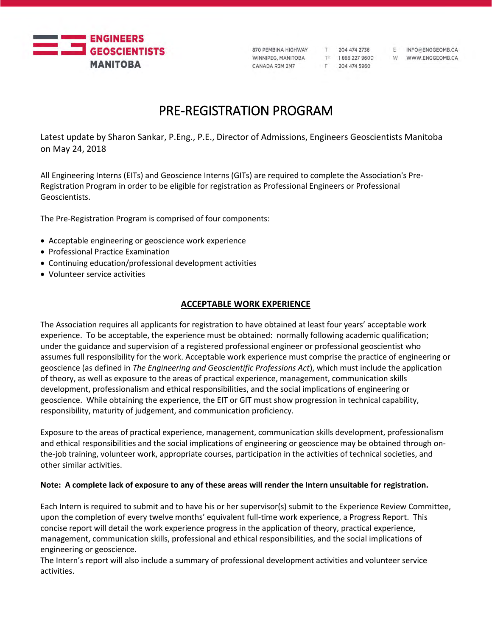

F 204 474 5960

F INFO@ENGGEOMB.CA TF 1866 227 9600 W WWW.ENGGEOMB.CA

# PRE-REGISTRATION PROGRAM

Latest update by Sharon Sankar, P.Eng., P.E., Director of Admissions, Engineers Geoscientists Manitoba on May 24, 2018

All Engineering Interns (EITs) and Geoscience Interns (GITs) are required to complete the Association's Pre-Registration Program in order to be eligible for registration as Professional Engineers or Professional Geoscientists.

The Pre-Registration Program is comprised of four components:

- Acceptable engineering or geoscience work experience
- Professional Practice Examination
- Continuing education/professional development activities
- Volunteer service activities

# **ACCEPTABLE WORK EXPERIENCE**

The Association requires all applicants for registration to have obtained at least four years' acceptable work experience. To be acceptable, the experience must be obtained: normally following academic qualification; under the guidance and supervision of a registered professional engineer or professional geoscientist who assumes full responsibility for the work. Acceptable work experience must comprise the practice of engineering or geoscience (as defined in *The Engineering and Geoscientific Professions Act*), which must include the application of theory, as well as exposure to the areas of practical experience, management, communication skills development, professionalism and ethical responsibilities, and the social implications of engineering or geoscience. While obtaining the experience, the EIT or GIT must show progression in technical capability, responsibility, maturity of judgement, and communication proficiency.

Exposure to the areas of practical experience, management, communication skills development, professionalism and ethical responsibilities and the social implications of engineering or geoscience may be obtained through onthe-job training, volunteer work, appropriate courses, participation in the activities of technical societies, and other similar activities.

#### **Note: A complete lack of exposure to any of these areas will render the Intern unsuitable for registration.**

Each Intern is required to submit and to have his or her supervisor(s) submit to the Experience Review Committee, upon the completion of every twelve months' equivalent full-time work experience, a Progress Report. This concise report will detail the work experience progress in the application of theory, practical experience, management, communication skills, professional and ethical responsibilities, and the social implications of engineering or geoscience.

The Intern's report will also include a summary of professional development activities and volunteer service activities.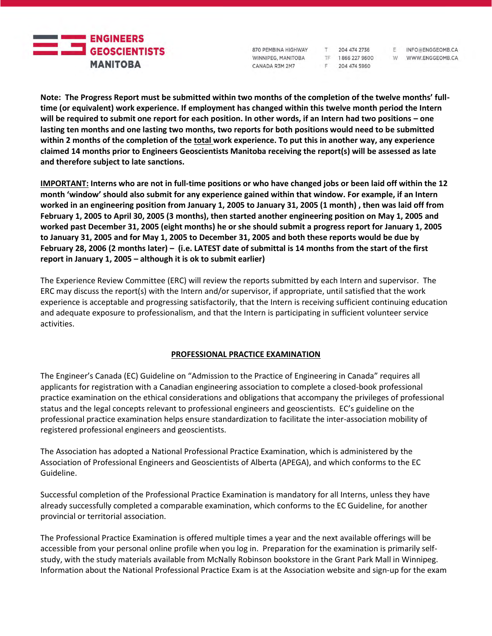

870 PEMBINA HIGHWAY WINNIPEG, MANITOBA CANADA R3M 2M7

204 474 2736 TF 1866 227 9600 F 204 474 5960

 $T$ 

F INFO@ENGGEOMB.CA

W WWW.ENGGEOMB.CA

**Note: The Progress Report must be submitted within two months of the completion of the twelve months' fulltime (or equivalent) work experience. If employment has changed within this twelve month period the Intern will be required to submit one report for each position. In other words, if an Intern had two positions – one lasting ten months and one lasting two months, two reports for both positions would need to be submitted within 2 months of the completion of the total work experience. To put this in another way, any experience claimed 14 months prior to Engineers Geoscientists Manitoba receiving the report(s) will be assessed as late and therefore subject to late sanctions.** 

**IMPORTANT: Interns who are not in full-time positions or who have changed jobs or been laid off within the 12 month 'window' should also submit for any experience gained within that window. For example, if an Intern worked in an engineering position from January 1, 2005 to January 31, 2005 (1 month) , then was laid off from February 1, 2005 to April 30, 2005 (3 months), then started another engineering position on May 1, 2005 and worked past December 31, 2005 (eight months) he or she should submit a progress report for January 1, 2005 to January 31, 2005 and for May 1, 2005 to December 31, 2005 and both these reports would be due by February 28, 2006 (2 months later) – (i.e. LATEST date of submittal is 14 months from the start of the first report in January 1, 2005 – although it is ok to submit earlier)**

The Experience Review Committee (ERC) will review the reports submitted by each Intern and supervisor. The ERC may discuss the report(s) with the Intern and/or supervisor, if appropriate, until satisfied that the work experience is acceptable and progressing satisfactorily, that the Intern is receiving sufficient continuing education and adequate exposure to professionalism, and that the Intern is participating in sufficient volunteer service activities.

## **PROFESSIONAL PRACTICE EXAMINATION**

The Engineer's Canada (EC) Guideline on "Admission to the Practice of Engineering in Canada" requires all applicants for registration with a Canadian engineering association to complete a closed-book professional practice examination on the ethical considerations and obligations that accompany the privileges of professional status and the legal concepts relevant to professional engineers and geoscientists. EC's guideline on the professional practice examination helps ensure standardization to facilitate the inter-association mobility of registered professional engineers and geoscientists.

The Association has adopted a National Professional Practice Examination, which is administered by the Association of Professional Engineers and Geoscientists of Alberta (APEGA), and which conforms to the EC Guideline.

Successful completion of the Professional Practice Examination is mandatory for all Interns, unless they have already successfully completed a comparable examination, which conforms to the EC Guideline, for another provincial or territorial association.

The Professional Practice Examination is offered multiple times a year and the next available offerings will be accessible from your personal online profile when you log in. Preparation for the examination is primarily selfstudy, with the study materials available from McNally Robinson bookstore in the Grant Park Mall in Winnipeg. Information about the National Professional Practice Exam is at the Association website and sign-up for the exam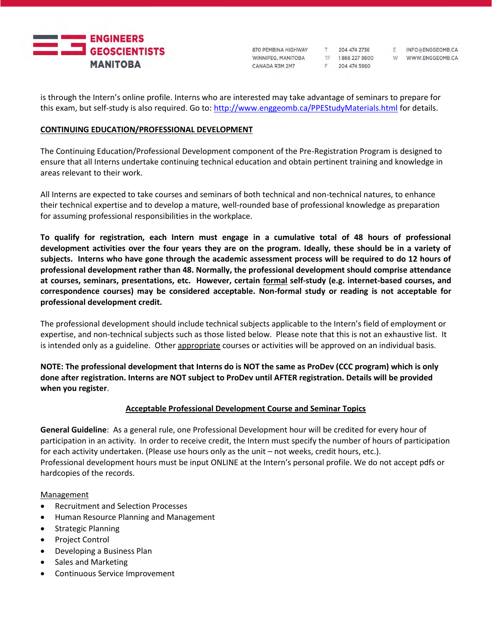

870 PEMBINA HIGHWAY WINNIPEG, MANITOBA CANADA R3M 2M7

T 204 474 2736 F 204 474 5960

F INFO@ENGGEOMB.CA TF 1866 227 9600 W WWW.ENGGEOMB.CA

is through the Intern's online profile. Interns who are interested may take advantage of seminars to prepare for this exam, but self-study is also required. Go to:<http://www.enggeomb.ca/PPEStudyMaterials.html> for details.

### **CONTINUING EDUCATION/PROFESSIONAL DEVELOPMENT**

The Continuing Education/Professional Development component of the Pre-Registration Program is designed to ensure that all Interns undertake continuing technical education and obtain pertinent training and knowledge in areas relevant to their work.

All Interns are expected to take courses and seminars of both technical and non-technical natures, to enhance their technical expertise and to develop a mature, well-rounded base of professional knowledge as preparation for assuming professional responsibilities in the workplace.

**To qualify for registration, each Intern must engage in a cumulative total of 48 hours of professional development activities over the four years they are on the program. Ideally, these should be in a variety of subjects. Interns who have gone through the academic assessment process will be required to do 12 hours of professional development rather than 48. Normally, the professional development should comprise attendance at courses, seminars, presentations, etc. However, certain formal self-study (e.g. internet-based courses, and correspondence courses) may be considered acceptable. Non-formal study or reading is not acceptable for professional development credit.**

The professional development should include technical subjects applicable to the Intern's field of employment or expertise, and non-technical subjects such as those listed below. Please note that this is not an exhaustive list. It is intended only as a guideline. Other appropriate courses or activities will be approved on an individual basis.

**NOTE: The professional development that Interns do is NOT the same as ProDev (CCC program) which is only done after registration. Interns are NOT subject to ProDev until AFTER registration. Details will be provided when you register**.

## **Acceptable Professional Development Course and Seminar Topics**

**General Guideline**: As a general rule, one Professional Development hour will be credited for every hour of participation in an activity. In order to receive credit, the Intern must specify the number of hours of participation for each activity undertaken. (Please use hours only as the unit – not weeks, credit hours, etc.). Professional development hours must be input ONLINE at the Intern's personal profile. We do not accept pdfs or hardcopies of the records.

#### Management

- Recruitment and Selection Processes
- Human Resource Planning and Management
- Strategic Planning
- Project Control
- Developing a Business Plan
- Sales and Marketing
- Continuous Service Improvement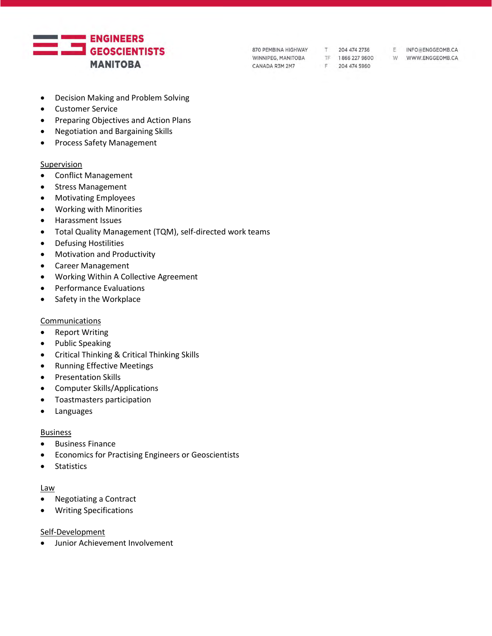

- Decision Making and Problem Solving
- Customer Service
- Preparing Objectives and Action Plans
- Negotiation and Bargaining Skills
- Process Safety Management

#### Supervision

- Conflict Management
- Stress Management
- Motivating Employees
- Working with Minorities
- Harassment Issues
- Total Quality Management (TQM), self-directed work teams
- Defusing Hostilities
- Motivation and Productivity
- Career Management
- Working Within A Collective Agreement
- Performance Evaluations
- Safety in the Workplace

#### **Communications**

- Report Writing
- Public Speaking
- Critical Thinking & Critical Thinking Skills
- Running Effective Meetings
- Presentation Skills
- Computer Skills/Applications
- Toastmasters participation
- Languages

#### **Business**

- Business Finance
- Economics for Practising Engineers or Geoscientists
- Statistics

#### Law

- Negotiating a Contract
- Writing Specifications

#### Self-Development

• Junior Achievement Involvement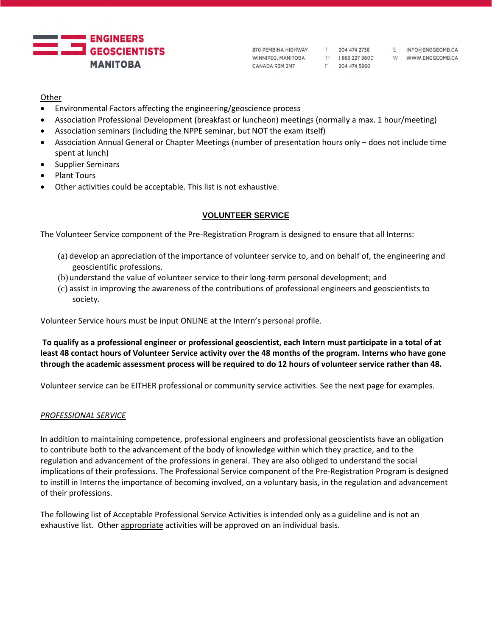

TF 1866 227 9600 W WWW.ENGGEOMB.CA F 204 474 5960

F INFO@ENGGEOMB.CA

## **Other**

- Environmental Factors affecting the engineering/geoscience process
- Association Professional Development (breakfast or luncheon) meetings (normally a max. 1 hour/meeting)
- Association seminars (including the NPPE seminar, but NOT the exam itself)
- Association Annual General or Chapter Meetings (number of presentation hours only does not include time spent at lunch)
- Supplier Seminars
- Plant Tours
- Other activities could be acceptable. This list is not exhaustive.

# **VOLUNTEER SERVICE**

The Volunteer Service component of the Pre-Registration Program is designed to ensure that all Interns:

- (a) develop an appreciation of the importance of volunteer service to, and on behalf of, the engineering and geoscientific professions.
- (b) understand the value of volunteer service to their long-term personal development; and
- (c) assist in improving the awareness of the contributions of professional engineers and geoscientists to society.

Volunteer Service hours must be input ONLINE at the Intern's personal profile.

**To qualify as a professional engineer or professional geoscientist, each Intern must participate in a total of at least 48 contact hours of Volunteer Service activity over the 48 months of the program. Interns who have gone through the academic assessment process will be required to do 12 hours of volunteer service rather than 48.** 

Volunteer service can be EITHER professional or community service activities. See the next page for examples.

# *PROFESSIONAL SERVICE*

In addition to maintaining competence, professional engineers and professional geoscientists have an obligation to contribute both to the advancement of the body of knowledge within which they practice, and to the regulation and advancement of the professions in general. They are also obliged to understand the social implications of their professions. The Professional Service component of the Pre-Registration Program is designed to instill in Interns the importance of becoming involved, on a voluntary basis, in the regulation and advancement of their professions.

The following list of Acceptable Professional Service Activities is intended only as a guideline and is not an exhaustive list. Other appropriate activities will be approved on an individual basis.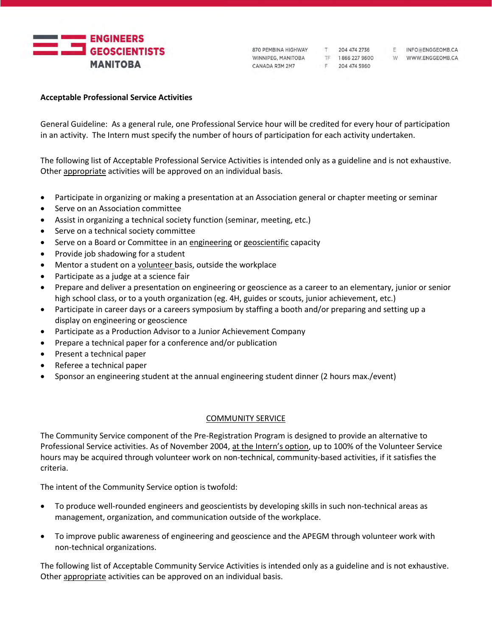

F 204 474 5960

F INFO@ENGGEOMB.CA TF 1866 227 9600 W WWW.ENGGEOMB.CA

#### **Acceptable Professional Service Activities**

General Guideline: As a general rule, one Professional Service hour will be credited for every hour of participation in an activity. The Intern must specify the number of hours of participation for each activity undertaken.

The following list of Acceptable Professional Service Activities is intended only as a guideline and is not exhaustive. Other appropriate activities will be approved on an individual basis.

- Participate in organizing or making a presentation at an Association general or chapter meeting or seminar
- Serve on an Association committee
- Assist in organizing a technical society function (seminar, meeting, etc.)
- Serve on a technical society committee
- Serve on a Board or Committee in an engineering or geoscientific capacity
- Provide job shadowing for a student
- Mentor a student on a volunteer basis, outside the workplace
- Participate as a judge at a science fair
- Prepare and deliver a presentation on engineering or geoscience as a career to an elementary, junior or senior high school class, or to a youth organization (eg. 4H, guides or scouts, junior achievement, etc.)
- Participate in career days or a careers symposium by staffing a booth and/or preparing and setting up a display on engineering or geoscience
- Participate as a Production Advisor to a Junior Achievement Company
- Prepare a technical paper for a conference and/or publication
- Present a technical paper
- Referee a technical paper
- Sponsor an engineering student at the annual engineering student dinner (2 hours max./event)

#### COMMUNITY SERVICE

The Community Service component of the Pre-Registration Program is designed to provide an alternative to Professional Service activities. As of November 2004, at the Intern's option, up to 100% of the Volunteer Service hours may be acquired through volunteer work on non-technical, community-based activities, if it satisfies the criteria.

The intent of the Community Service option is twofold:

- To produce well-rounded engineers and geoscientists by developing skills in such non-technical areas as management, organization, and communication outside of the workplace.
- To improve public awareness of engineering and geoscience and the APEGM through volunteer work with non-technical organizations.

The following list of Acceptable Community Service Activities is intended only as a guideline and is not exhaustive. Other appropriate activities can be approved on an individual basis.